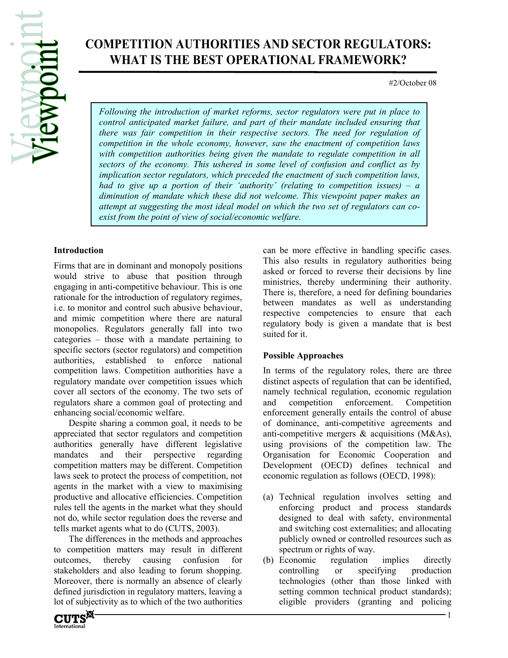# COMPETITION AUTHORITIES AND SECTOR REGULATORS: WHAT IS THE BEST OPERATIONAL FRAMEWORK?

#2/October 08

Following the introduction of market reforms, sector regulators were put in place to control anticipated market failure, and part of their mandate included ensuring that there was fair competition in their respective sectors. The need for regulation of competition in the whole economy, however, saw the enactment of competition laws with competition authorities being given the mandate to regulate competition in all sectors of the economy. This ushered in some level of confusion and conflict as by implication sector regulators, which preceded the enactment of such competition laws, had to give up a portion of their 'authority' (relating to competition issues) –  $a$ diminution of mandate which these did not welcome. This viewpoint paper makes an attempt at suggesting the most ideal model on which the two set of regulators can coexist from the point of view of social/economic welfare.

### Introduction

Firms that are in dominant and monopoly positions would strive to abuse that position through engaging in anti-competitive behaviour. This is one rationale for the introduction of regulatory regimes, i.e. to monitor and control such abusive behaviour, and mimic competition where there are natural monopolies. Regulators generally fall into two categories – those with a mandate pertaining to specific sectors (sector regulators) and competition authorities, established to enforce national competition laws. Competition authorities have a regulatory mandate over competition issues which cover all sectors of the economy. The two sets of regulators share a common goal of protecting and enhancing social/economic welfare.

Despite sharing a common goal, it needs to be appreciated that sector regulators and competition authorities generally have different legislative mandates and their perspective regarding competition matters may be different. Competition laws seek to protect the process of competition, not agents in the market with a view to maximising productive and allocative efficiencies. Competition rules tell the agents in the market what they should not do, while sector regulation does the reverse and tells market agents what to do (CUTS, 2003).

The differences in the methods and approaches to competition matters may result in different outcomes, thereby causing confusion for stakeholders and also leading to forum shopping. Moreover, there is normally an absence of clearly defined jurisdiction in regulatory matters, leaving a lot of subjectivity as to which of the two authorities

can be more effective in handling specific cases. This also results in regulatory authorities being asked or forced to reverse their decisions by line ministries, thereby undermining their authority. There is, therefore, a need for defining boundaries between mandates as well as understanding respective competencies to ensure that each regulatory body is given a mandate that is best suited for it.

### Possible Approaches

In terms of the regulatory roles, there are three distinct aspects of regulation that can be identified, namely technical regulation, economic regulation and competition enforcement. Competition enforcement generally entails the control of abuse of dominance, anti-competitive agreements and anti-competitive mergers & acquisitions (M&As), using provisions of the competition law. The Organisation for Economic Cooperation and Development (OECD) defines technical and economic regulation as follows (OECD, 1998):

- (a) Technical regulation involves setting and enforcing product and process standards designed to deal with safety, environmental and switching cost externalities; and allocating publicly owned or controlled resources such as spectrum or rights of way.
- (b) Economic regulation implies directly controlling or specifying production technologies (other than those linked with setting common technical product standards); eligible providers (granting and policing

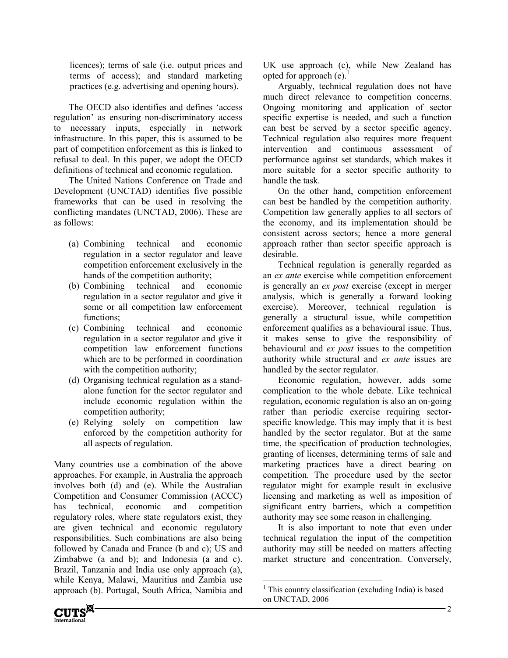licences); terms of sale (i.e. output prices and terms of access); and standard marketing practices (e.g. advertising and opening hours).

The OECD also identifies and defines 'access regulation' as ensuring non-discriminatory access to necessary inputs, especially in network infrastructure. In this paper, this is assumed to be part of competition enforcement as this is linked to refusal to deal. In this paper, we adopt the OECD definitions of technical and economic regulation.

The United Nations Conference on Trade and Development (UNCTAD) identifies five possible frameworks that can be used in resolving the conflicting mandates (UNCTAD, 2006). These are as follows:

- (a) Combining technical and economic regulation in a sector regulator and leave competition enforcement exclusively in the hands of the competition authority;
- (b) Combining technical and economic regulation in a sector regulator and give it some or all competition law enforcement functions;
- (c) Combining technical and economic regulation in a sector regulator and give it competition law enforcement functions which are to be performed in coordination with the competition authority;
- (d) Organising technical regulation as a standalone function for the sector regulator and include economic regulation within the competition authority;
- (e) Relying solely on competition law enforced by the competition authority for all aspects of regulation.

Many countries use a combination of the above approaches. For example, in Australia the approach involves both (d) and (e). While the Australian Competition and Consumer Commission (ACCC) has technical, economic and competition regulatory roles, where state regulators exist, they are given technical and economic regulatory responsibilities. Such combinations are also being followed by Canada and France (b and c); US and Zimbabwe (a and b); and Indonesia (a and c). Brazil, Tanzania and India use only approach (a), while Kenya, Malawi, Mauritius and Zambia use approach (b). Portugal, South Africa, Namibia and



Arguably, technical regulation does not have much direct relevance to competition concerns. Ongoing monitoring and application of sector specific expertise is needed, and such a function can best be served by a sector specific agency. Technical regulation also requires more frequent intervention and continuous assessment of performance against set standards, which makes it more suitable for a sector specific authority to handle the task.

On the other hand, competition enforcement can best be handled by the competition authority. Competition law generally applies to all sectors of the economy, and its implementation should be consistent across sectors; hence a more general approach rather than sector specific approach is desirable.

Technical regulation is generally regarded as an ex ante exercise while competition enforcement is generally an ex post exercise (except in merger analysis, which is generally a forward looking exercise). Moreover, technical regulation is generally a structural issue, while competition enforcement qualifies as a behavioural issue. Thus, it makes sense to give the responsibility of behavioural and *ex post* issues to the competition authority while structural and ex ante issues are handled by the sector regulator.

Economic regulation, however, adds some complication to the whole debate. Like technical regulation, economic regulation is also an on-going rather than periodic exercise requiring sectorspecific knowledge. This may imply that it is best handled by the sector regulator. But at the same time, the specification of production technologies, granting of licenses, determining terms of sale and marketing practices have a direct bearing on competition. The procedure used by the sector regulator might for example result in exclusive licensing and marketing as well as imposition of significant entry barriers, which a competition authority may see some reason in challenging.

It is also important to note that even under technical regulation the input of the competition authority may still be needed on matters affecting market structure and concentration. Conversely,

-



<sup>&</sup>lt;sup>1</sup> This country classification (excluding India) is based on UNCTAD, 2006